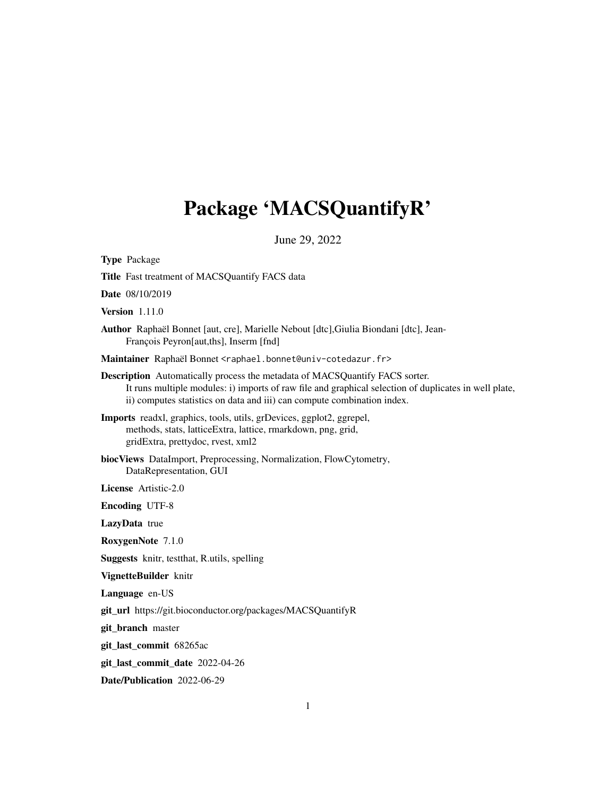# Package 'MACSQuantifyR'

June 29, 2022

Type Package

Title Fast treatment of MACSQuantify FACS data

Date 08/10/2019

Version 1.11.0

Author Raphaël Bonnet [aut, cre], Marielle Nebout [dtc],Giulia Biondani [dtc], Jean-François Peyron[aut,ths], Inserm [fnd]

Maintainer Raphaël Bonnet <raphael.bonnet@univ-cotedazur.fr>

- Description Automatically process the metadata of MACSQuantify FACS sorter. It runs multiple modules: i) imports of raw file and graphical selection of duplicates in well plate, ii) computes statistics on data and iii) can compute combination index.
- Imports readxl, graphics, tools, utils, grDevices, ggplot2, ggrepel, methods, stats, latticeExtra, lattice, rmarkdown, png, grid, gridExtra, prettydoc, rvest, xml2
- biocViews DataImport, Preprocessing, Normalization, FlowCytometry, DataRepresentation, GUI

License Artistic-2.0

Encoding UTF-8

LazyData true

RoxygenNote 7.1.0

Suggests knitr, testthat, R.utils, spelling

VignetteBuilder knitr

Language en-US

git\_url https://git.bioconductor.org/packages/MACSQuantifyR

git\_branch master

git\_last\_commit 68265ac

git\_last\_commit\_date 2022-04-26

Date/Publication 2022-06-29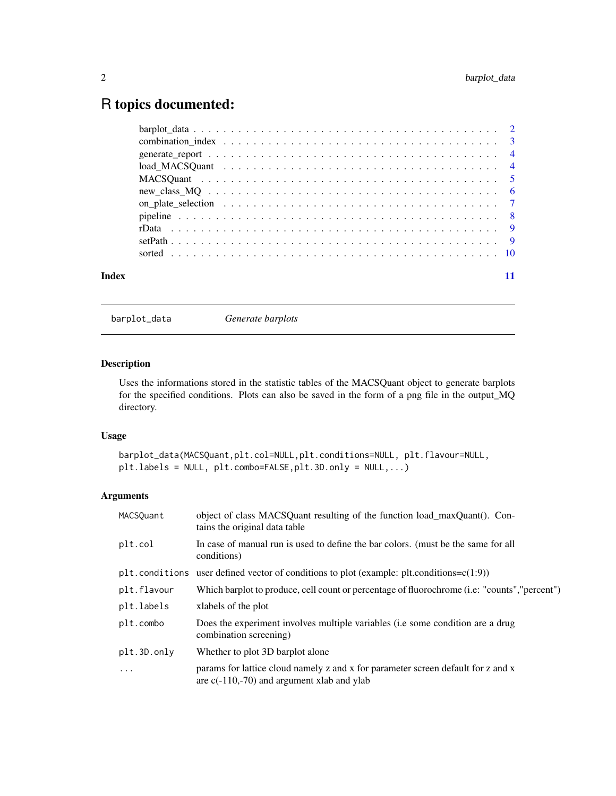## <span id="page-1-0"></span>R topics documented:

| Index |  |
|-------|--|

barplot\_data *Generate barplots*

#### Description

Uses the informations stored in the statistic tables of the MACSQuant object to generate barplots for the specified conditions. Plots can also be saved in the form of a png file in the output\_MQ directory.

#### Usage

```
barplot_data(MACSQuant,plt.col=NULL,plt.conditions=NULL, plt.flavour=NULL,
plt.labels = NULL, plt.combo=FALSE,plt.3D.only = NULL,...)
```

| MACSQuant   | object of class MACSQuant resulting of the function load_maxQuant(). Con-<br>tains the original data table                       |
|-------------|----------------------------------------------------------------------------------------------------------------------------------|
| plt.col     | In case of manual run is used to define the bar colors. (must be the same for all<br>conditions)                                 |
|             | plt.conditions user defined vector of conditions to plot (example: plt.conditions= $c(1:9)$ )                                    |
| plt.flavour | Which barplot to produce, cell count or percentage of fluorochrome ( <i>i.e.</i> "counts", "percent")                            |
| plt.labels  | xlabels of the plot                                                                                                              |
| plt.combo   | Does the experiment involves multiple variables (i.e some condition are a drug<br>combination screening)                         |
| plt.3D.only | Whether to plot 3D barplot alone                                                                                                 |
| $\cdot$     | params for lattice cloud namely z and x for parameter screen default for z and x<br>are $c(-110,-70)$ and argument xlab and ylab |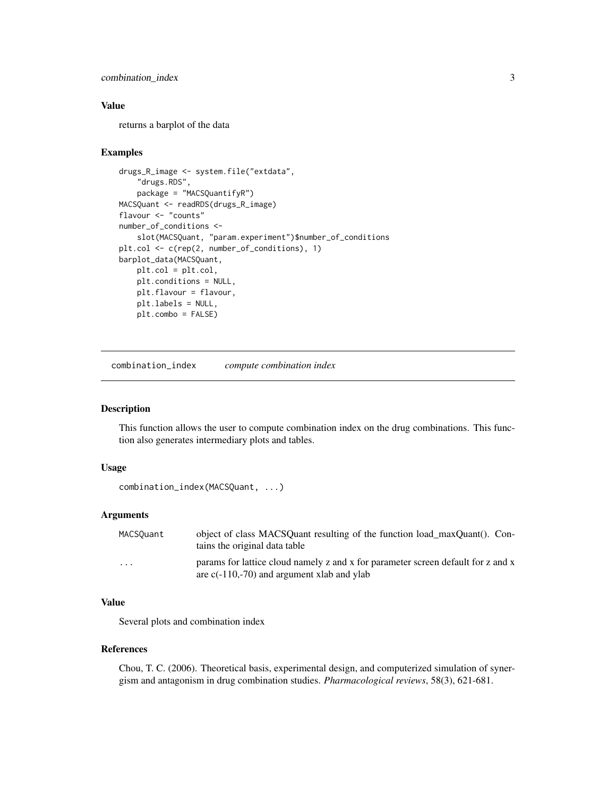#### <span id="page-2-0"></span>combination\_index 3

#### Value

returns a barplot of the data

#### Examples

```
drugs_R_image <- system.file("extdata",
    "drugs.RDS",
    package = "MACSQuantifyR")
MACSQuant <- readRDS(drugs_R_image)
flavour <- "counts"
number_of_conditions <-
    slot(MACSQuant, "param.experiment")$number_of_conditions
plt.col <- c(rep(2, number_of_conditions), 1)
barplot_data(MACSQuant,
   plt.col = plt.col,
   plt.conditions = NULL,
   plt.flavour = flavour,
   plt.labels = NULL,
   plt.combo = FALSE)
```
combination\_index *compute combination index*

#### Description

This function allows the user to compute combination index on the drug combinations. This function also generates intermediary plots and tables.

#### Usage

```
combination_index(MACSQuant, ...)
```
#### Arguments

| MACSOuant | object of class MACSQuant resulting of the function load maxQuant(). Con-<br>tains the original data table                       |
|-----------|----------------------------------------------------------------------------------------------------------------------------------|
| .         | params for lattice cloud namely z and x for parameter screen default for z and x<br>are $c(-110,-70)$ and argument xlab and ylab |

### Value

Several plots and combination index

#### References

Chou, T. C. (2006). Theoretical basis, experimental design, and computerized simulation of synergism and antagonism in drug combination studies. *Pharmacological reviews*, 58(3), 621-681.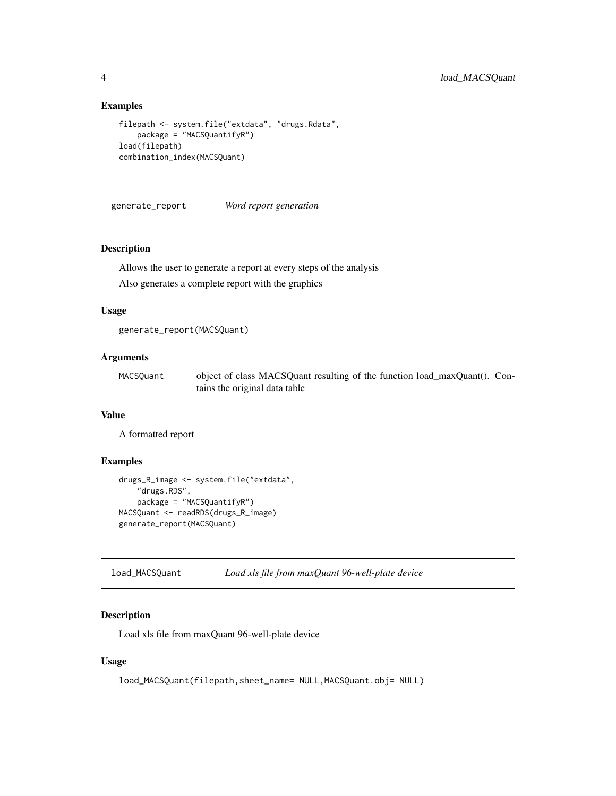#### <span id="page-3-0"></span>Examples

```
filepath <- system.file("extdata", "drugs.Rdata",
   package = "MACSQuantifyR")
load(filepath)
combination_index(MACSQuant)
```
generate\_report *Word report generation*

#### Description

Allows the user to generate a report at every steps of the analysis

Also generates a complete report with the graphics

#### Usage

```
generate_report(MACSQuant)
```
#### Arguments

| MACSQuant | object of class MACSQuant resulting of the function load_maxQuant(). Con- |
|-----------|---------------------------------------------------------------------------|
|           | tains the original data table                                             |

### Value

A formatted report

#### Examples

```
drugs_R_image <- system.file("extdata",
    "drugs.RDS",
    package = "MACSQuantifyR")
MACSQuant <- readRDS(drugs_R_image)
generate_report(MACSQuant)
```
load\_MACSQuant *Load xls file from maxQuant 96-well-plate device*

#### Description

Load xls file from maxQuant 96-well-plate device

#### Usage

```
load_MACSQuant(filepath,sheet_name= NULL,MACSQuant.obj= NULL)
```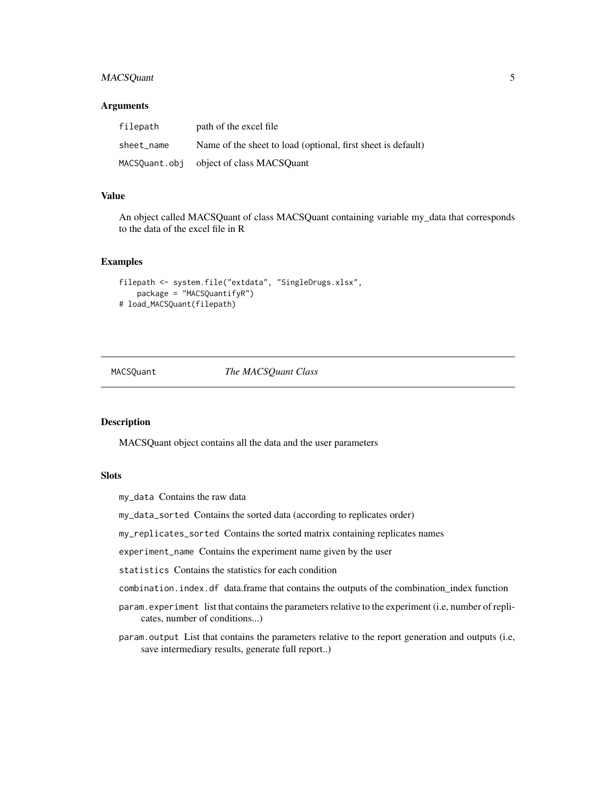#### <span id="page-4-0"></span>MACSQuant 5

#### **Arguments**

| filepath      | path of the excel file                                       |
|---------------|--------------------------------------------------------------|
| sheet name    | Name of the sheet to load (optional, first sheet is default) |
| MACSQuant.obj | object of class MACSOuant                                    |

#### Value

An object called MACSQuant of class MACSQuant containing variable my\_data that corresponds to the data of the excel file in R

#### Examples

```
filepath <- system.file("extdata", "SingleDrugs.xlsx",
   package = "MACSQuantifyR")
# load_MACSQuant(filepath)
```
MACSQuant *The MACSQuant Class*

#### Description

MACSQuant object contains all the data and the user parameters

#### Slots

my\_data Contains the raw data

my\_data\_sorted Contains the sorted data (according to replicates order)

my\_replicates\_sorted Contains the sorted matrix containing replicates names

experiment\_name Contains the experiment name given by the user

statistics Contains the statistics for each condition

combination.index.df data.frame that contains the outputs of the combination\_index function

- param.experiment list that contains the parameters relative to the experiment (i.e, number of replicates, number of conditions...)
- param.output List that contains the parameters relative to the report generation and outputs (i.e, save intermediary results, generate full report..)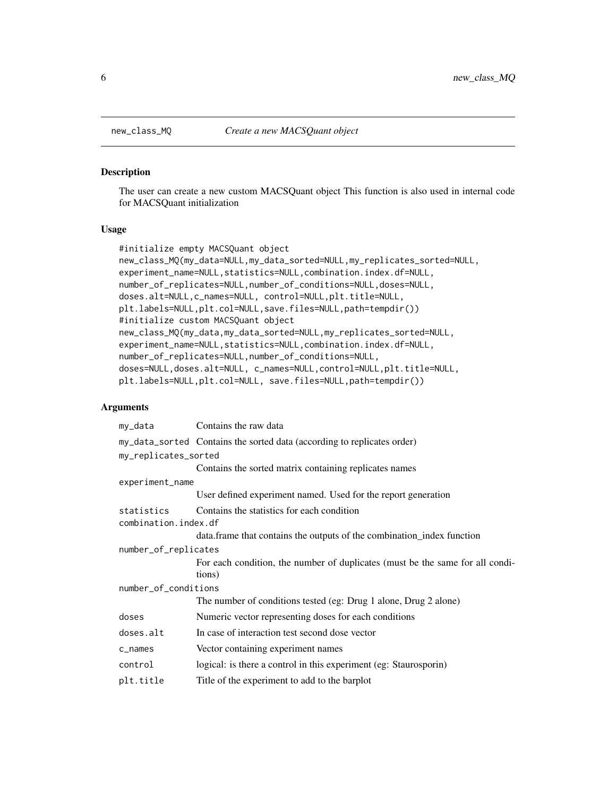#### Description

The user can create a new custom MACSQuant object This function is also used in internal code for MACSQuant initialization

#### Usage

```
#initialize empty MACSQuant object
new_class_MQ(my_data=NULL,my_data_sorted=NULL,my_replicates_sorted=NULL,
experiment_name=NULL,statistics=NULL,combination.index.df=NULL,
number_of_replicates=NULL,number_of_conditions=NULL,doses=NULL,
doses.alt=NULL,c_names=NULL, control=NULL,plt.title=NULL,
plt.labels=NULL,plt.col=NULL,save.files=NULL,path=tempdir())
#initialize custom MACSQuant object
new_class_MQ(my_data,my_data_sorted=NULL,my_replicates_sorted=NULL,
experiment_name=NULL,statistics=NULL,combination.index.df=NULL,
number_of_replicates=NULL,number_of_conditions=NULL,
doses=NULL,doses.alt=NULL, c_names=NULL,control=NULL,plt.title=NULL,
plt.labels=NULL,plt.col=NULL, save.files=NULL,path=tempdir())
```

| my_data              | Contains the raw data                                                         |
|----------------------|-------------------------------------------------------------------------------|
|                      | my_data_sorted Contains the sorted data (according to replicates order)       |
| my_replicates_sorted |                                                                               |
|                      | Contains the sorted matrix containing replicates names                        |
| experiment_name      |                                                                               |
|                      | User defined experiment named. Used for the report generation                 |
| statistics           | Contains the statistics for each condition                                    |
| combination.index.df |                                                                               |
|                      | data. frame that contains the outputs of the combination_index function       |
| number_of_replicates |                                                                               |
|                      | For each condition, the number of duplicates (must be the same for all condi- |
|                      | tions)                                                                        |
| number_of_conditions |                                                                               |
|                      | The number of conditions tested (eg: Drug 1 alone, Drug 2 alone)              |
| doses                | Numeric vector representing doses for each conditions                         |
| doses.alt            | In case of interaction test second dose vector                                |
| c_names              | Vector containing experiment names                                            |
| control              | logical: is there a control in this experiment (eg: Staurosporin)             |
| plt.title            | Title of the experiment to add to the barplot                                 |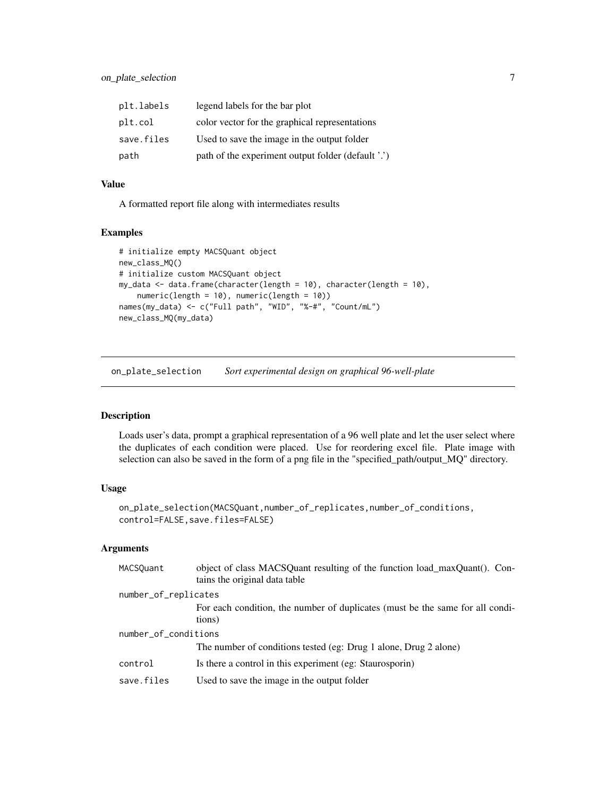<span id="page-6-0"></span>

| plt.labels | legend labels for the bar plot                     |
|------------|----------------------------------------------------|
| plt.col    | color vector for the graphical representations     |
| save.files | Used to save the image in the output folder        |
| path       | path of the experiment output folder (default '.') |

#### Value

A formatted report file along with intermediates results

#### Examples

```
# initialize empty MACSQuant object
new_class_MQ()
# initialize custom MACSQuant object
my_data <- data.frame(character(length = 10), character(length = 10),
   numeric(length = 10), numeric(length = 10))
names(my_data) <- c("Full path", "WID", "%-#", "Count/mL")
new_class_MQ(my_data)
```
on\_plate\_selection *Sort experimental design on graphical 96-well-plate*

#### Description

Loads user's data, prompt a graphical representation of a 96 well plate and let the user select where the duplicates of each condition were placed. Use for reordering excel file. Plate image with selection can also be saved in the form of a png file in the "specified\_path/output\_MQ" directory.

## Usage

```
on_plate_selection(MACSQuant,number_of_replicates,number_of_conditions,
control=FALSE, save.files=FALSE)
```

| MACSQuant            | object of class MACSQuant resulting of the function load_maxQuant(). Con-<br>tains the original data table |  |  |
|----------------------|------------------------------------------------------------------------------------------------------------|--|--|
|                      | number_of_replicates                                                                                       |  |  |
|                      | For each condition, the number of duplicates (must be the same for all condi-<br>tions)                    |  |  |
| number_of_conditions |                                                                                                            |  |  |
|                      | The number of conditions tested (eg: Drug 1 alone, Drug 2 alone)                                           |  |  |
| control              | Is there a control in this experiment (eg: Staurosporin)                                                   |  |  |
| save.files           | Used to save the image in the output folder                                                                |  |  |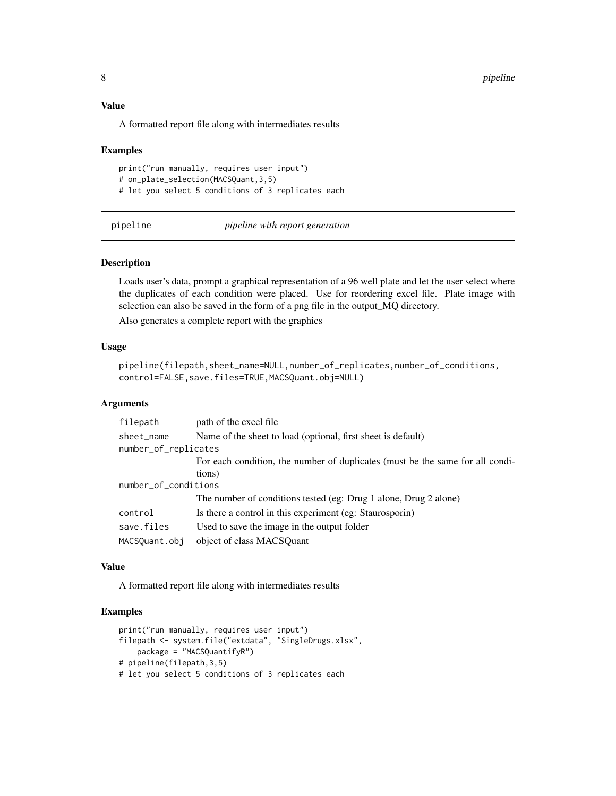#### <span id="page-7-0"></span>Value

A formatted report file along with intermediates results

#### Examples

```
print("run manually, requires user input")
# on_plate_selection(MACSQuant,3,5)
# let you select 5 conditions of 3 replicates each
```
pipeline *pipeline with report generation*

#### Description

Loads user's data, prompt a graphical representation of a 96 well plate and let the user select where the duplicates of each condition were placed. Use for reordering excel file. Plate image with selection can also be saved in the form of a png file in the output\_MQ directory.

Also generates a complete report with the graphics

#### Usage

```
pipeline(filepath,sheet_name=NULL,number_of_replicates,number_of_conditions,
control=FALSE, save.files=TRUE, MACSQuant.obj=NULL)
```
#### **Arguments**

| filepath             | path of the excel file                                                        |  |  |
|----------------------|-------------------------------------------------------------------------------|--|--|
| sheet_name           | Name of the sheet to load (optional, first sheet is default)                  |  |  |
|                      | number_of_replicates                                                          |  |  |
|                      | For each condition, the number of duplicates (must be the same for all condi- |  |  |
|                      | tions)                                                                        |  |  |
| number_of_conditions |                                                                               |  |  |
|                      | The number of conditions tested (eg: Drug 1 alone, Drug 2 alone)              |  |  |
| control              | Is there a control in this experiment (eg: Staurosporin)                      |  |  |
| save.files           | Used to save the image in the output folder                                   |  |  |
| MACSQuant.obj        | object of class MACSOuant                                                     |  |  |

#### Value

A formatted report file along with intermediates results

#### Examples

```
print("run manually, requires user input")
filepath <- system.file("extdata", "SingleDrugs.xlsx",
   package = "MACSQuantifyR")
# pipeline(filepath,3,5)
# let you select 5 conditions of 3 replicates each
```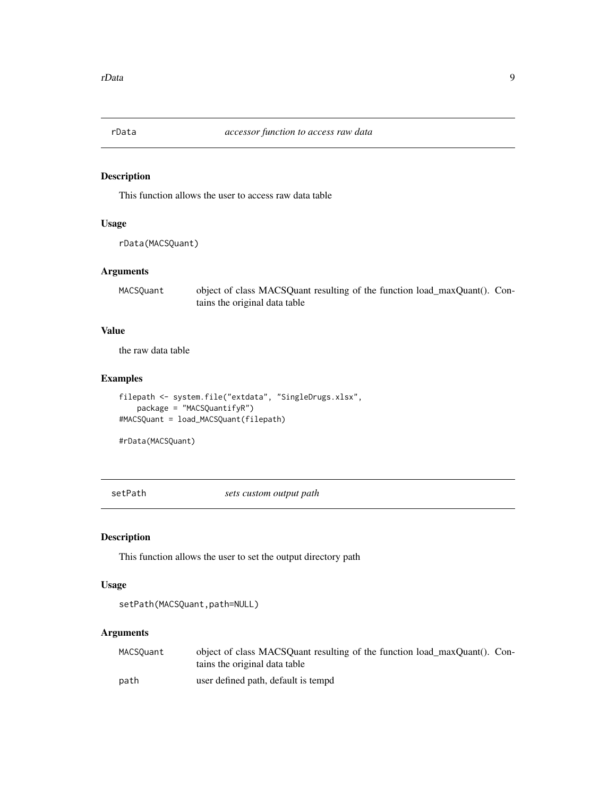<span id="page-8-0"></span>

#### Description

This function allows the user to access raw data table

#### Usage

rData(MACSQuant)

#### Arguments

MACSQuant object of class MACSQuant resulting of the function load\_maxQuant(). Contains the original data table

#### Value

the raw data table

#### Examples

```
filepath <- system.file("extdata", "SingleDrugs.xlsx",
   package = "MACSQuantifyR")
#MACSQuant = load_MACSQuant(filepath)
```
#rData(MACSQuant)

setPath *sets custom output path*

#### Description

This function allows the user to set the output directory path

#### Usage

```
setPath(MACSQuant,path=NULL)
```

| MACSQuant | object of class MACSOuant resulting of the function load maxOuant(). Con-<br>tains the original data table |  |
|-----------|------------------------------------------------------------------------------------------------------------|--|
| path      | user defined path, default is tempd                                                                        |  |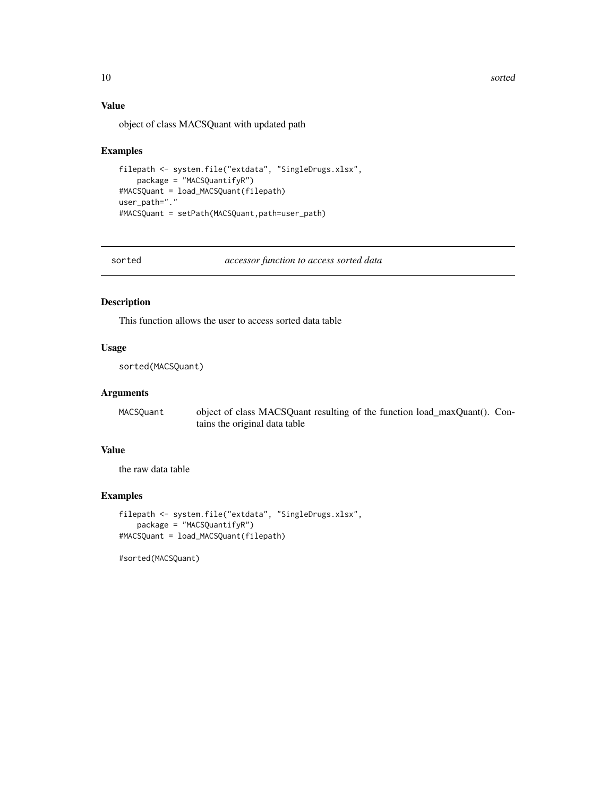<span id="page-9-0"></span>10 sorted and the state of the state of the state of the state of the state of the state of the state of the state of the state of the state of the state of the state of the state of the state of the state of the state of

### Value

object of class MACSQuant with updated path

#### Examples

```
filepath <- system.file("extdata", "SingleDrugs.xlsx",
   package = "MACSQuantifyR")
#MACSQuant = load_MACSQuant(filepath)
user_path="."
#MACSQuant = setPath(MACSQuant,path=user_path)
```
sorted *accessor function to access sorted data*

#### Description

This function allows the user to access sorted data table

#### Usage

sorted(MACSQuant)

#### Arguments

MACSQuant object of class MACSQuant resulting of the function load\_maxQuant(). Contains the original data table

#### Value

the raw data table

#### Examples

```
filepath <- system.file("extdata", "SingleDrugs.xlsx",
    package = "MACSQuantifyR")
#MACSQuant = load_MACSQuant(filepath)
```
#sorted(MACSQuant)